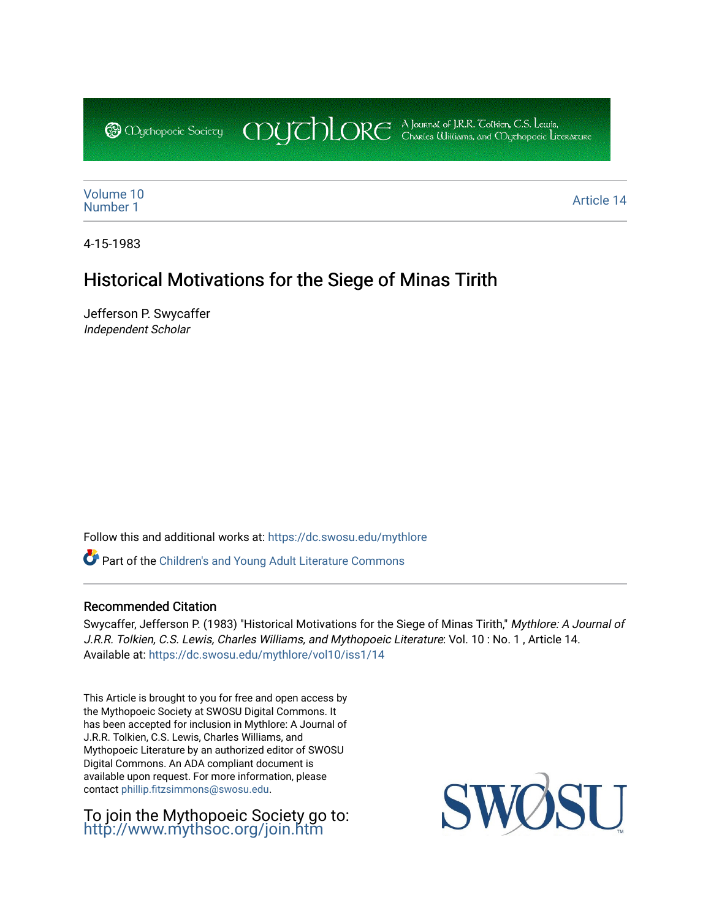CDUCHLORE A Journal of J.R.R. Coltien, C.S. Lewis,<br>CDUCHLORE Charles Williams, and Obyethopoeic Literacure **@** *Oychopoeic* Sociecy

[Volume 10](https://dc.swosu.edu/mythlore/vol10)<br>Number 1 [Number 1](https://dc.swosu.edu/mythlore/vol10/iss1) Article 14<br>Number 1 Article 14

4-15-1983

## Historical Motivations for the Siege of Minas Tirith

Jefferson P. Swycaffer Independent Scholar

Follow this and additional works at: [https://dc.swosu.edu/mythlore](https://dc.swosu.edu/mythlore?utm_source=dc.swosu.edu%2Fmythlore%2Fvol10%2Fiss1%2F14&utm_medium=PDF&utm_campaign=PDFCoverPages) 

Part of the [Children's and Young Adult Literature Commons](http://network.bepress.com/hgg/discipline/1289?utm_source=dc.swosu.edu%2Fmythlore%2Fvol10%2Fiss1%2F14&utm_medium=PDF&utm_campaign=PDFCoverPages) 

#### Recommended Citation

Swycaffer, Jefferson P. (1983) "Historical Motivations for the Siege of Minas Tirith," Mythlore: A Journal of J.R.R. Tolkien, C.S. Lewis, Charles Williams, and Mythopoeic Literature: Vol. 10 : No. 1 , Article 14. Available at: [https://dc.swosu.edu/mythlore/vol10/iss1/14](https://dc.swosu.edu/mythlore/vol10/iss1/14?utm_source=dc.swosu.edu%2Fmythlore%2Fvol10%2Fiss1%2F14&utm_medium=PDF&utm_campaign=PDFCoverPages)

This Article is brought to you for free and open access by the Mythopoeic Society at SWOSU Digital Commons. It has been accepted for inclusion in Mythlore: A Journal of J.R.R. Tolkien, C.S. Lewis, Charles Williams, and Mythopoeic Literature by an authorized editor of SWOSU Digital Commons. An ADA compliant document is available upon request. For more information, please contact [phillip.fitzsimmons@swosu.edu.](mailto:phillip.fitzsimmons@swosu.edu)

To join the Mythopoeic Society go to: <http://www.mythsoc.org/join.htm>

SWO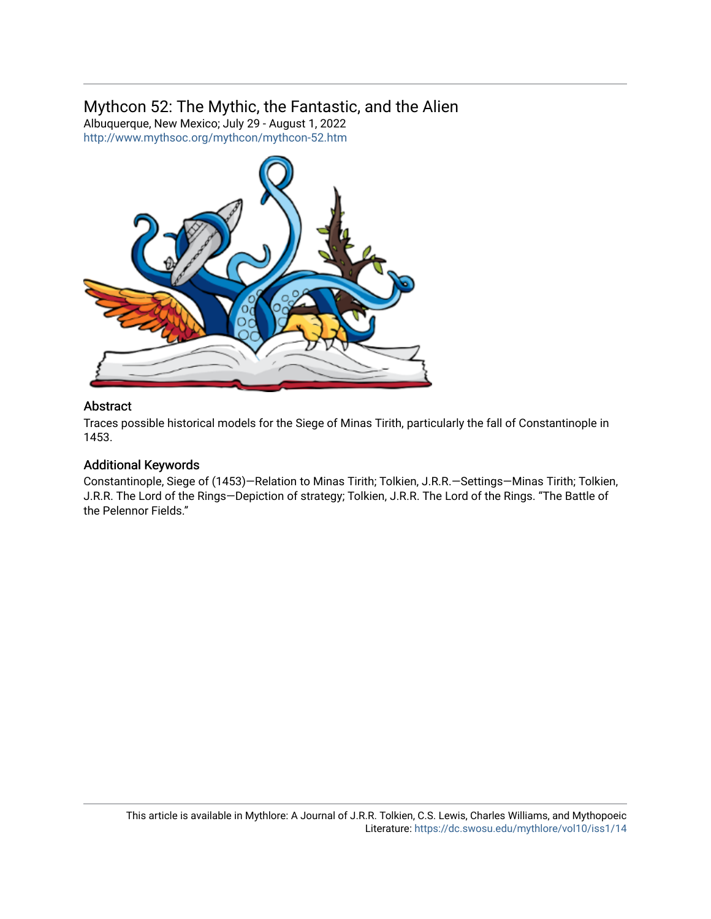## Mythcon 52: The Mythic, the Fantastic, and the Alien

Albuquerque, New Mexico; July 29 - August 1, 2022 <http://www.mythsoc.org/mythcon/mythcon-52.htm>



#### Abstract

Traces possible historical models for the Siege of Minas Tirith, particularly the fall of Constantinople in 1453.

### Additional Keywords

Constantinople, Siege of (1453)—Relation to Minas Tirith; Tolkien, J.R.R.—Settings—Minas Tirith; Tolkien, J.R.R. The Lord of the Rings—Depiction of strategy; Tolkien, J.R.R. The Lord of the Rings. "The Battle of the Pelennor Fields."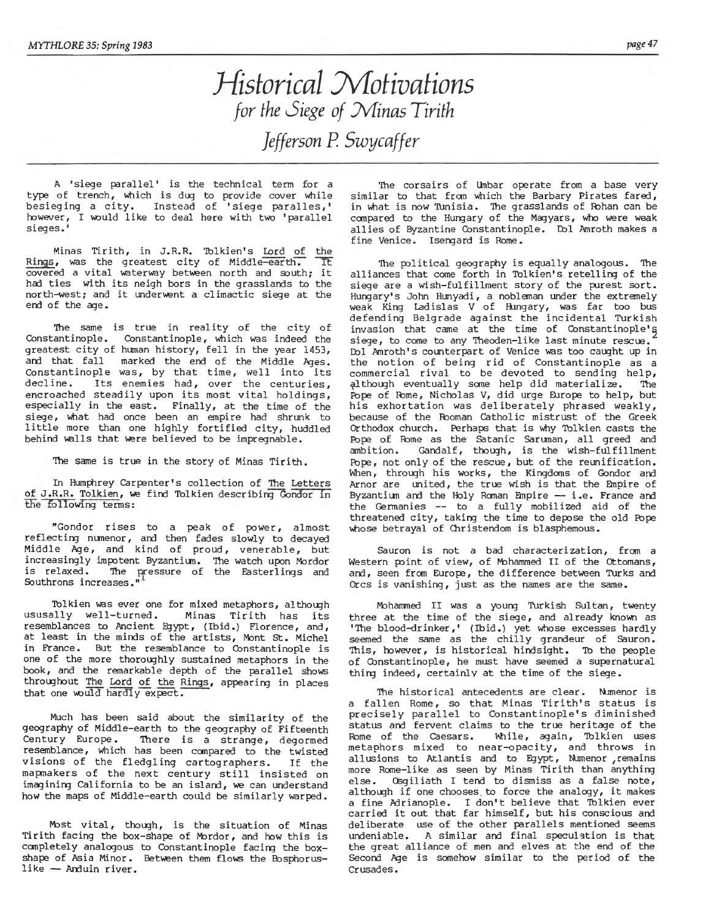# *Historical Motivations for the Siege of Minas Tirith Jefferson P. Swycaffer*

**A 'siege parallel' is the technical term for a type of trench, which is dug to provide cover while** besieging a city. Instead of 'siege paralles,' however, I would like to deal here with two 'parallel sieges.'

Minas Tirith, in J.R.R. Tolkien's <u>Lord of the</u><br>... was the greatest city of Middle<del>-earth. Th</del> Rings, was the greatest city of Middle-earth. covered a vital waterway between north and south; it had ties with its neigh bors in the grasslands to the north-west; and it underwent a climactic siege at the **end of the age.**

The same is true in reality of the city of **Constantinople. Constantinople, which was indeed the** greatest city of human history, fell in the year 1453, and that fall marked the end of the Middle Ages. Constantinople was, by that time, well into its decline. Its enemies had, over the centuries, encroached steadily upon its most vital holdings, **especially in the east. Finally, at the time of the sieg e, what had once been an empire had shrunk to** little more than one highly fortified city, huddled **behind walls that were believed to be impregnable.**

The same is true in the story of Minas Tirith.

**In Humphrey Carpenter's collection of The Letters of J.R.R. Tolkien, we find Tolkien describing Gondor in the following terms:**

"Gondor rises to a peak of power, almost **reflecting numenor, and then fades slowly to decayed** Middle Age, and kind of proud, venerable, but **increasingly impotent Byzantium. The watch upon Mordor** is relaxed. The pressure of the Easterlings an **Southrons increases."**

**Tolkien was ever one for mixed metaphors, although** Minas Tirith has its **resemblances to Ancient Egypt, (Ibid.) Florence, and,** at least in the minds of the artists, Mont St. Michel **in France. But the resemblance to Constantinople is one of the more thoroughly sustained metaphors in the book, and the remarkable depth of the parallel shows throughout The Lord of the Rings, appearing in places that one would hardly expect.**

**Much has been said about the sim ilarity of the geography of Middle-earth to the geography of Fifteenth** There is a strange, degormed **resemblance, which has been compared to the twisted** visions of the fledgling cartographers. If the mapmakers of the next century still insisted on **imagining California to be an island,** *we* **can understand** how the maps of Middle-earth could be similarly warped.

Most vital, though, is the situation of Minas Tirith facing the box-shape of Mordor, and how this is **completely analogous to Constantinople facing the boxshape of Asia Minor. Between them flows the Bosphorus**like - Anduin river.

**The corsairs of Unbar operate from a base very similar to that from which the Barbary Pirates fared, in what is now Tunisia. The grasslands of Rohan can be compared to the Hungary of the Magyars, who were weak a llie s of Byzantine Constantinople. Dol Amroth makes a fine Venice. Isergard is Rome.**

The political geography is equally analogous. The alliances that come forth in Tolkien's retelling of the siege are a wish-fulfillment story of the purest sort. **Hungary's John Hunyadi, a nobleman under the extremely weak King Ladislas V of Hungary,** *was* **far too bus** defending Belgrade against the incidental T<mark>ur</mark>kish invasion that came at the time of Constantinople's siege, to come to any Theoden-like last minute rescue. **Dol Amroth's counterpart of Venice was too caught up in** the notion of being rid of Constantinople as a commercial rival to be devoted to sending help, although eventually some help did materialize. The **Pope of Rome, Nicholas V, did urge Europe to help, but** his exhortation was deliberately phrased weakly, **because of the Rooman Catholic mistrust of the Greek Orthodox church. Perhaps that is why Tolkien casts the** Pope of Rome as the Satanic Saruman, all greed and ambition. Gandalf, though, is the wish-fulfillment **Rope, not only of the rescue, but of the reunification. When, through his works, the Kingdoms of Gondor and Arnor are united, the true wash is that the Bnpire of Byzantium and the Holy Roman Bnpire — i .e . France and** the Germanies -- to a fully mobilized aid of the threatened city, taking the time to depose the old Pope **whose betrayal of Christendom is blasphemous.**

**Sauron is not a bad characterization, from a** Western point of view, of Mohammed II of the Ottomans, **and, seen from Europe, the difference between Turks and** Orcs is vanishing, just as the names are the same.

**Mohammed II was a young Turkish Sultan, twenty** three at the time of the siege, and already known as **'The blood-drinker,' (Ibid.) yet whose excesses hardly** seemed the same as the chilly grandeur of Sauron. This, however, is historical hindsight. To the people **of Constantinople, he must have seemed a supernatural thing indeed, certainly at the time of the siege.**

**The h istorical antecedents are clear. Numenor is** a fallen Rome, so that Minas Tirith's status is precisely parallel to Constantinople's diminished **status and fervent claims to the true heritage of the Rome of the Caesars. While, again, Tolkien uses** metaphors mixed to near-opacity**,** and throws in allusions to Atlantis and to Egypt, Numenor ,remain **more Rome-like as seen by Minas Tirith than anything** else. Osgiliath I tend to dismiss as a false note, although if one chooses to force the analogy, it makes a fine Adrianople. I don't believe that Tolkien ever carried it out that far himself, but his conscious and deliberate use of the other parallels mentioned seems **undeniable. A similar and final speculation is that the great alliance of men and elves at the end of the Second Age is somehow similar to the period of the Crusades.**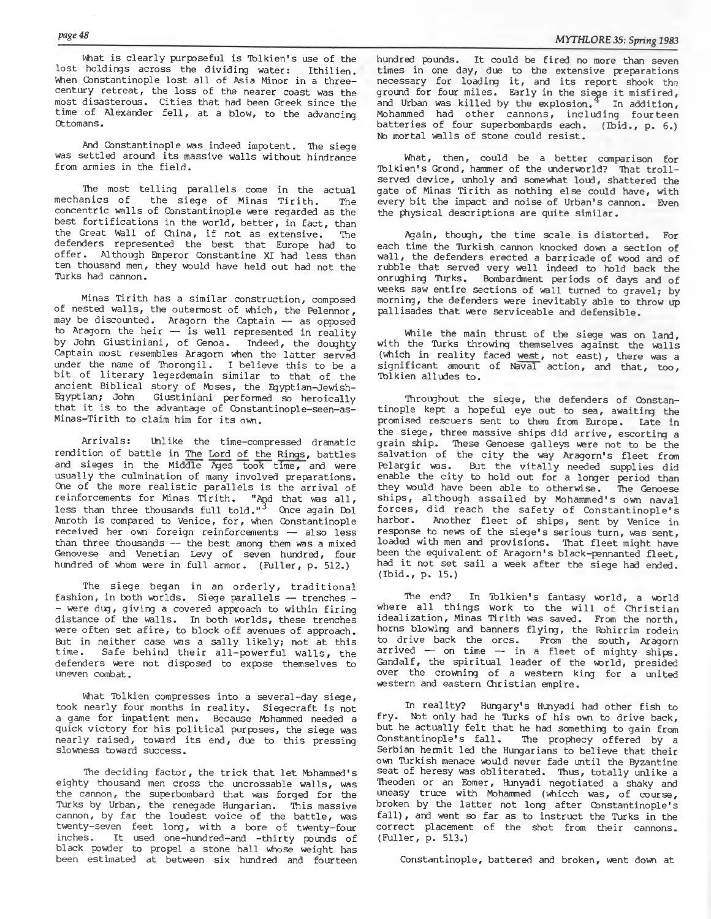What is clearly purposeful is Tolkien's use of the lost holdings across the dividing water: Ithilien. When Constantinople lost all of Asia Minor in a three**century retreat, the loss of the nearer coast was the most disasterous. C ities that had been Greek since the** time of Alexander fell, at a blow, to the advancing **Ottomans.**

**And Constantinople was indeed impotent. The siege** was settled around its massive walls without hindrance from armies in the field.

The most telling parallels come in the actual<br>mechanics of the siege of Minas Tirith. The the siege of Minas Tirith. The **concentric walls of Constantinople were regarded as the** best fortifications in the world, better, in fact, than the Great Wall of China, if not as extensive. The **defenders represented the best that Europe had to** offer. Although Emperor Constantine XI had less than **ten thousand men, they would have held out had not the Turks had cannon.**

**Minas Tirith has a similar construction, composed of nested w alls, the outermost of which, the Pelennor, may be discounted. Aragorn the Captain — as opposed to Aragorn the heir — is well represented in reality** by John Giustiniani, of Genoa. Indeed, the doughty **Captain most resembles Aragorn when the latter served under the name of Thorong il. I believe th is to be a b it of literary legerdemain similar to that of the ancient Biblical story of Moses, the Egyptian-Jewish-Egyptian; John Giustiniani performed so heroically that it is to the advantage of Gonstantinople-seen-as-**Minas-Tirith to claim him for its own.

**Arrivals: Unlike the time-compressed dramatic rendition of battle in The Lord of the Rings, b attles and sieges in the Middle Ages took time, and were usually the culmination of many involved preparations.** One of the more realistic parallels is the arrival of reinforcements for Minas Tirith. "And that was all, less than three thousands full told."<sup>3</sup> Once again Dol **Amroth is compared to Venice, for, when Constantinople received her own foreign reinforcements — also less than three thousands — the best among them was a mixed Genovese and Venetian Levy of seven hundred, four** hundred of whom were in full armor. (Fuller, p. 512.)

The siege began in an orderly, traditional **fashion, in both worlds. Siege parallels — trenches - - were dug, giving a covered approach to within firing** distance of the walls. In both worlds, these trenches were often set afire, to block off avenues of approach. But in neither case was a sally likely; not at this time. Safe behind their all-powerful walls, the Safe behind their all-powerful walls, the **defenders were not disposed to expose themselves to uneven combat.**

**What Tolkien compresses into a several-day siege, took nearly four months in reality. Siegecraft is not a game for impatient men. Because Mohammed needed a** quick victory for his political purposes, the siege was nearly raised, toward its end, due to this pressing **slowness toward success.**

The deciding factor, the trick that let Mohammed's eighty thousand men cross the uncrossable walls, was **the cannon, the superbombard that was forged for the Turks by Urban, the renegade Hungarian. This massive** cannon, by far the loudest voice of the battle, was **twenty-seven feet long, with a bore of twenty-four inches. It used one-hundred-and -th irty pounds of black powder to propel a stone ball whose weight has been estimated at between six hundred and fourteen** **hundred pounds. It could be fired no more than seven times in one day, due to the extensive preparations necessary for loading it, and its report shook the** ground for four miles. Early in the siege it misfired, and Urban was killed by the explosion.<sup>4</sup> In addition, **Mohammed had other cannons, including fourteen batteries of four superbombards each. (Ibid., p. 6.)** No mortal walls of stone could resist.

**What, then, could be a better comparison for** Tolkien's Grond, hammer of the underworld? That troll**served device, unholy and somewhat loud, shattered the gate of Minas Tirith as nothing else could have, with every b it the impact and noise of Urban's cannon. Even the physical descriptions are quite sim ilar.**

**Again, though, the time scale is distorted. For each time the Turkish cannon knocked down a section of wall, the defenders erected a barricade of wood and of rubble that served very well indeed to hold back the onrughing Turks. Bombardment periods of days and of weeks saw entire sections of wall turned to gravel; by morning, the defenders were inevitably able to throw up pallisades that were serviceable and defensible.**

**While the main thrust of the siege was on land, with the Turks throwing themselves against the walls** (which in reality faced west, not east), there was a **significant amount of Naval action, and that, too, Tolkien alludes to.**

Throughout the siege, the defenders of Constan**tinople kept a hopeful eye out to sea, awaiting the promised rescuers sent to them from Europe. Late in the siege, three massive ships did arrive, escorting a grain ship. These Genoese galleys were not to be the** salvation of the city the way Aragorn's fleet from Pelargir was. But the vitally needed supplies did **enable the c ity to hold out for a longer period than** they would have been able to otherwise. The Genoese ships, although assailed by Mohammed's own naval **fo r c e s, did reach the sa fety of C onstantinople's** harbor. Another fleet of ships, sent by Venice in **response to news of the sieg e's serious turn, was sent,** loaded with men and provisions. That fleet might have been the equivalent of Aragorn's black-pennanted fleet, had it not set sail a week after the siege had ended. **(Ibid., p. 15.)**

The end? In Tolkien's fantasy world, a world where all things work to the will of Christian **idealization, Minas Tirith was saved. From the north,** horns blowing and banners flying, the Rohirrim rodein **to drive back the ores. From the south, Aragorn** arrived — on time — in a fleet of mighty ships. **Gandalf, the spiritual leader of the world, presided over the crowning of a western king for a united western and eastern Christian empire.**

**In reality? Hungary's Hunyadi had other fish to** fry. Not only had he Turks of his own to drive back, but he actually felt that he had something to gain from Constantinople's fall. The prophecy offered by a **Serbian hermit led the Hungarians to believe that their own Turkish menace would never fade until the Byzantine** seat of heresy was obliterated. Thus, totally unlike a **Theoden or an Eomer, Hunyadi negotiated a shaky and uneasy truce with Mohammed (whicch was, of course, broken by the latter not long after Constantinople's fa ll) , and went so far as to instruct the Turks in the correct placement of the shot from their cannons. (Fuller, p. 513.)**

**Constantinople, battered and broken, went down at**